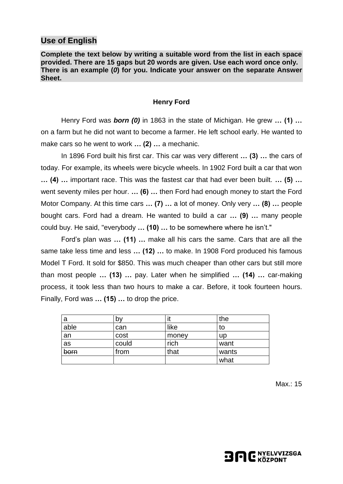### **Use of English**

**Complete the text below by writing a suitable word from the list in each space provided. There are 15 gaps but 20 words are given. Use each word once only. There is an example (***0***) for you. Indicate your answer on the separate Answer Sheet.**

#### **Henry Ford**

Henry Ford was *born (0)* in 1863 in the state of Michigan. He grew **… (1) …** on a farm but he did not want to become a farmer. He left school early. He wanted to make cars so he went to work **… (2) …** a mechanic.

In 1896 Ford built his first car. This car was very different **… (3) …** the cars of today. For example, its wheels were bicycle wheels. In 1902 Ford built a car that won **… (4) …** important race. This was the fastest car that had ever been built. **… (5) …** went seventy miles per hour. **… (6) …** then Ford had enough money to start the Ford Motor Company. At this time cars **… (7) …** a lot of money. Only very **… (8) …** people bought cars. Ford had a dream. He wanted to build a car **… (9) …** many people could buy. He said, "everybody **… (10) …** to be somewhere where he isn't."

Ford's plan was **… (11) …** make all his cars the same. Cars that are all the same take less time and less **… (12) …** to make. In 1908 Ford produced his famous Model T Ford. It sold for \$850. This was much cheaper than other cars but still more than most people **… (13) …** pay. Later when he simplified **… (14) …** car-making process, it took less than two hours to make a car. Before, it took fourteen hours. Finally, Ford was **… (15) …** to drop the price.

| a    | by    | ιι    | the       |
|------|-------|-------|-----------|
| able | can   | like  | to        |
| an   | cost  | money | <b>up</b> |
| as   | could | rich  | want      |
| born | from  | that  | wants     |
|      |       |       | what      |

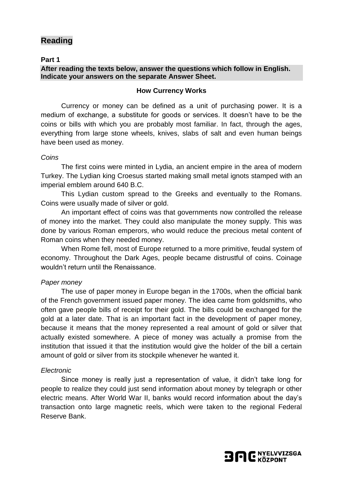# **Reading**

### **Part 1**

### **After reading the texts below, answer the questions which follow in English. Indicate your answers on the separate Answer Sheet.**

#### **How Currency Works**

Currency or money can be defined as a unit of purchasing power. It is a medium of exchange, a substitute for goods or services. It doesn't have to be the coins or bills with which you are probably most familiar. In fact, through the ages, everything from large stone wheels, knives, slabs of salt and even human beings have been used as money.

### *Coins*

The first coins were minted in Lydia, an ancient empire in the area of modern Turkey. The Lydian king Croesus started making small metal ignots stamped with an imperial emblem around 640 B.C.

This Lydian custom spread to the Greeks and eventually to the Romans. Coins were usually made of silver or gold.

An important effect of coins was that governments now controlled the release of money into the market. They could also manipulate the money supply. This was done by various Roman emperors, who would reduce the precious metal content of Roman coins when they needed money.

When Rome fell, most of Europe returned to a more primitive, feudal system of economy. Throughout the Dark Ages, people became distrustful of coins. Coinage wouldn't return until the Renaissance.

### *Paper money*

The use of paper money in Europe began in the 1700s, when the official bank of the French government issued paper money. The idea came from goldsmiths, who often gave people bills of receipt for their gold. The bills could be exchanged for the gold at a later date. That is an important fact in the development of paper money, because it means that the money represented a real amount of gold or silver that actually existed somewhere. A piece of money was actually a promise from the institution that issued it that the institution would give the holder of the bill a certain amount of gold or silver from its stockpile whenever he wanted it.

### *Electronic*

Since money is really just a representation of value, it didn't take long for people to realize they could just send information about money by telegraph or other electric means. After World War II, banks would record information about the day's transaction onto large magnetic reels, which were taken to the regional Federal Reserve Bank.

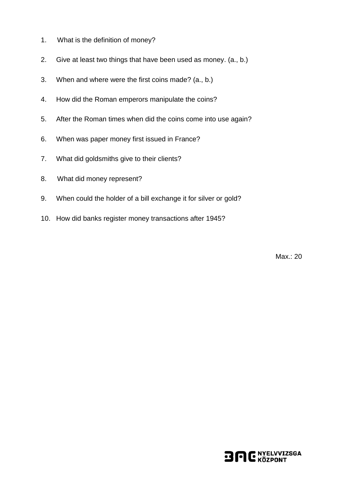- 1. What is the definition of money?
- 2. Give at least two things that have been used as money. (a., b.)
- 3. When and where were the first coins made? (a., b.)
- 4. How did the Roman emperors manipulate the coins?
- 5. After the Roman times when did the coins come into use again?
- 6. When was paper money first issued in France?
- 7. What did goldsmiths give to their clients?
- 8. What did money represent?
- 9. When could the holder of a bill exchange it for silver or gold?
- 10. How did banks register money transactions after 1945?

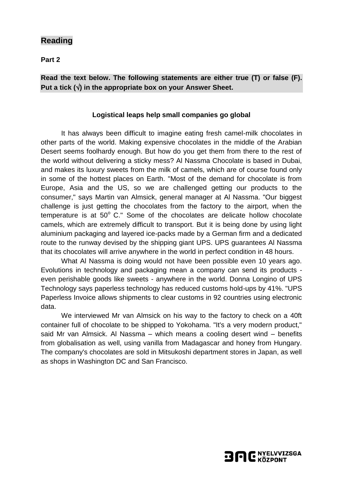## **Reading**

**Part 2**

## **Read the text below. The following statements are either true (T) or false (F). Put a tick () in the appropriate box on your Answer Sheet.**

### **Logistical leaps help small companies go global**

It has always been difficult to imagine eating fresh camel-milk chocolates in other parts of the world. Making expensive chocolates in the middle of the Arabian Desert seems foolhardy enough. But how do you get them from there to the rest of the world without delivering a sticky mess? Al Nassma Chocolate is based in Dubai, and makes its luxury sweets from the milk of camels, which are of course found only in some of the hottest places on Earth. "Most of the demand for chocolate is from Europe, Asia and the US, so we are challenged getting our products to the consumer," says Martin van Almsick, general manager at Al Nassma. "Our biggest challenge is just getting the chocolates from the factory to the airport, when the temperature is at  $50^{\circ}$  C." Some of the chocolates are delicate hollow chocolate camels, which are extremely difficult to transport. But it is being done by using light aluminium packaging and layered ice-packs made by a German firm and a dedicated route to the runway devised by the shipping giant UPS. UPS guarantees Al Nassma that its chocolates will arrive anywhere in the world in perfect condition in 48 hours.

What Al Nassma is doing would not have been possible even 10 years ago. Evolutions in technology and packaging mean a company can send its products even perishable goods like sweets - anywhere in the world. Donna Longino of UPS Technology says paperless technology has reduced customs hold-ups by 41%. "UPS Paperless Invoice allows shipments to clear customs in 92 countries using electronic data.

We interviewed Mr van Almsick on his way to the factory to check on a 40ft container full of chocolate to be shipped to Yokohama. "It's a very modern product," said Mr van Almsick. Al Nassma – which means a cooling desert wind – benefits from globalisation as well, using vanilla from Madagascar and honey from Hungary. The company's chocolates are sold in Mitsukoshi department stores in Japan, as well as shops in Washington DC and San Francisco.

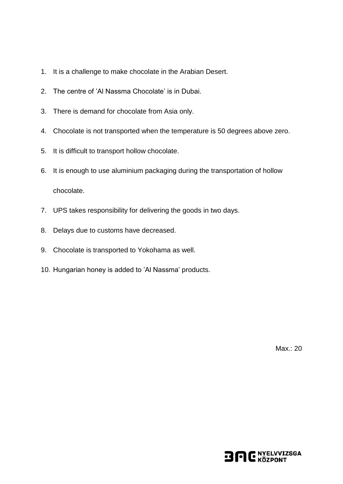- 1. It is a challenge to make chocolate in the Arabian Desert.
- 2. The centre of 'Al Nassma Chocolate' is in Dubai.
- 3. There is demand for chocolate from Asia only.
- 4. Chocolate is not transported when the temperature is 50 degrees above zero.
- 5. It is difficult to transport hollow chocolate.
- 6. It is enough to use aluminium packaging during the transportation of hollow chocolate.
- 7. UPS takes responsibility for delivering the goods in two days.
- 8. Delays due to customs have decreased.
- 9. Chocolate is transported to Yokohama as well.
- 10. Hungarian honey is added to 'Al Nassma' products.